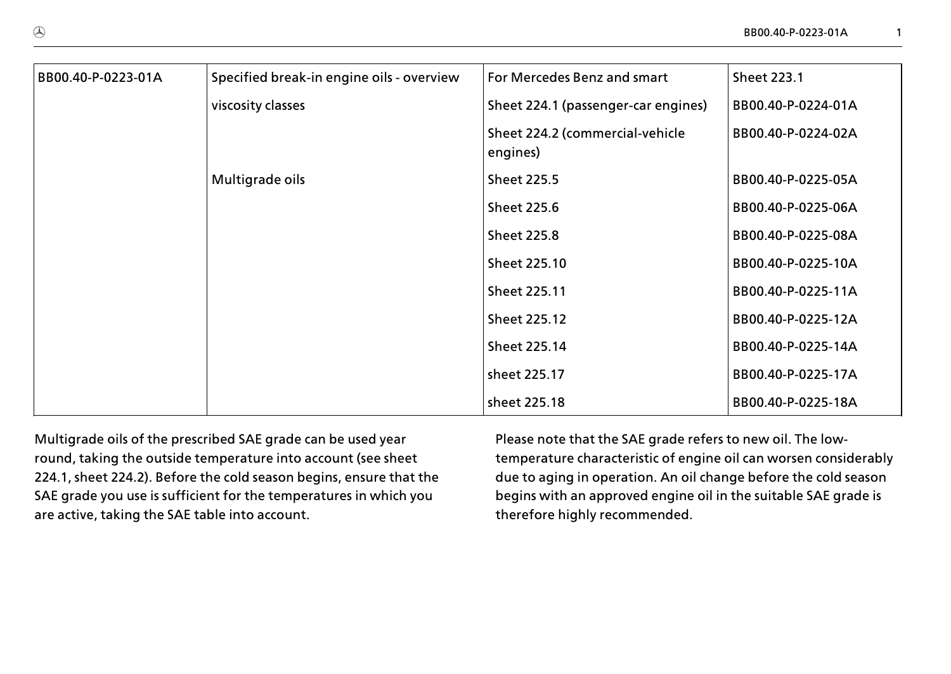| BB00.40-P-0223-01A | Specified break-in engine oils - overview | For Mercedes Benz and smart                 | <b>Sheet 223.1</b> |  |  |
|--------------------|-------------------------------------------|---------------------------------------------|--------------------|--|--|
|                    | viscosity classes                         | Sheet 224.1 (passenger-car engines)         | BB00.40-P-0224-01A |  |  |
|                    |                                           | Sheet 224.2 (commercial-vehicle<br>engines) | BB00.40-P-0224-02A |  |  |
|                    | Multigrade oils                           | <b>Sheet 225.5</b>                          | BB00.40-P-0225-05A |  |  |
|                    |                                           | <b>Sheet 225.6</b>                          | BB00.40-P-0225-06A |  |  |
|                    |                                           | <b>Sheet 225.8</b>                          | BB00.40-P-0225-08A |  |  |
|                    |                                           | Sheet 225.10                                | BB00.40-P-0225-10A |  |  |
|                    |                                           | Sheet 225.11                                | BB00.40-P-0225-11A |  |  |
|                    |                                           | Sheet 225.12                                | BB00.40-P-0225-12A |  |  |
|                    |                                           | Sheet 225.14                                | BB00.40-P-0225-14A |  |  |
|                    |                                           | sheet 225.17                                | BB00.40-P-0225-17A |  |  |
|                    |                                           | sheet 225.18                                | BB00.40-P-0225-18A |  |  |

Multigrade oils of the prescribed SAE grade can be used year round, taking the outside temperature into account (see sheet 224.1, sheet 224.2). Before the cold season begins, ensure that the SAE grade you use is sufficient for the temperatures in which you are active, taking the SAE table into account.

Please note that the SAE grade refers to new oil. The lowtemperature characteristic of engine oil can worsen considerably due to aging in operation. An oil change before the cold season begins with an approved engine oil in the suitable SAE grade is therefore highly recommended.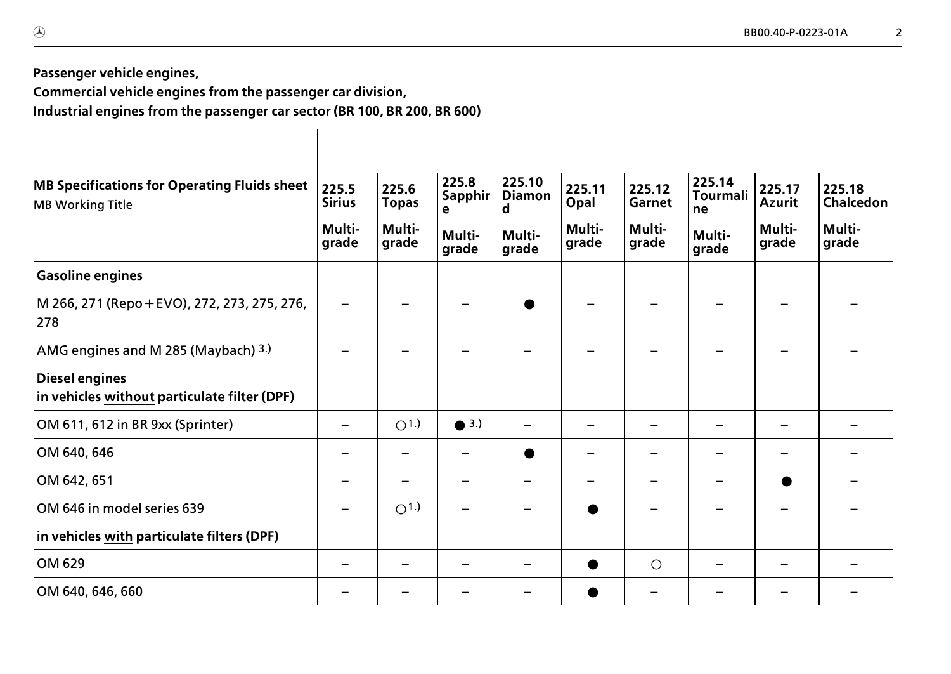**Passenger vehicle engines,**

**Commercial vehicle engines from the passenger car division, Industrial engines from the passenger car sector (BR 100, BR 200, BR 600)**

| <b>MB Specifications for Operating Fluids sheet</b><br><b>MB Working Title</b> | 225.5<br><b>Sirius</b>   | 225.6<br><b>Topas</b>    | 225.8<br>Sapphir<br>e | 225.10<br><b>Diamon</b><br>d | 225.11<br>Opal  | 225.12<br>Garnet | 225.14<br><b>Tourmali</b><br>ne | 225.17<br><b>Azurit</b> | 225.18<br>Chalcedon |
|--------------------------------------------------------------------------------|--------------------------|--------------------------|-----------------------|------------------------------|-----------------|------------------|---------------------------------|-------------------------|---------------------|
|                                                                                | Multi-<br>grade          | Multi-<br>grade          | Multi-<br>grade       | Multi-<br>grade              | Multi-<br>grade | Multi-<br>grade  | Multi-<br>grade                 | Multi-<br>grade         | Multi-<br>grade     |
| <b>Gasoline engines</b>                                                        |                          |                          |                       |                              |                 |                  |                                 |                         |                     |
| M 266, 271 (Repo + EVO), 272, 273, 275, 276,<br>278                            |                          |                          |                       |                              |                 |                  |                                 |                         |                     |
| AMG engines and M 285 (Maybach) 3.)                                            | $\overline{\phantom{0}}$ | $\overline{\phantom{m}}$ |                       |                              | -               |                  |                                 | —                       |                     |
| <b>Diesel engines</b><br>in vehicles without particulate filter (DPF)          |                          |                          |                       |                              |                 |                  |                                 |                         |                     |
| OM 611, 612 in BR 9xx (Sprinter)                                               | -                        | O(1.)                    | $\bullet$ 3.)         |                              | -               |                  |                                 | -                       |                     |
| OM 640, 646                                                                    | -                        | -                        |                       |                              | -               |                  |                                 | —                       |                     |
| OM 642, 651                                                                    |                          |                          |                       |                              |                 |                  |                                 | ●                       |                     |
| OM 646 in model series 639                                                     |                          | O <sub>1</sub>           |                       |                              |                 |                  |                                 | —                       |                     |
| in vehicles with particulate filters (DPF)                                     |                          |                          |                       |                              |                 |                  |                                 |                         |                     |
| OM 629                                                                         |                          |                          |                       |                              |                 | $\circ$          |                                 |                         |                     |
| OM 640, 646, 660                                                               |                          |                          |                       |                              |                 |                  |                                 |                         |                     |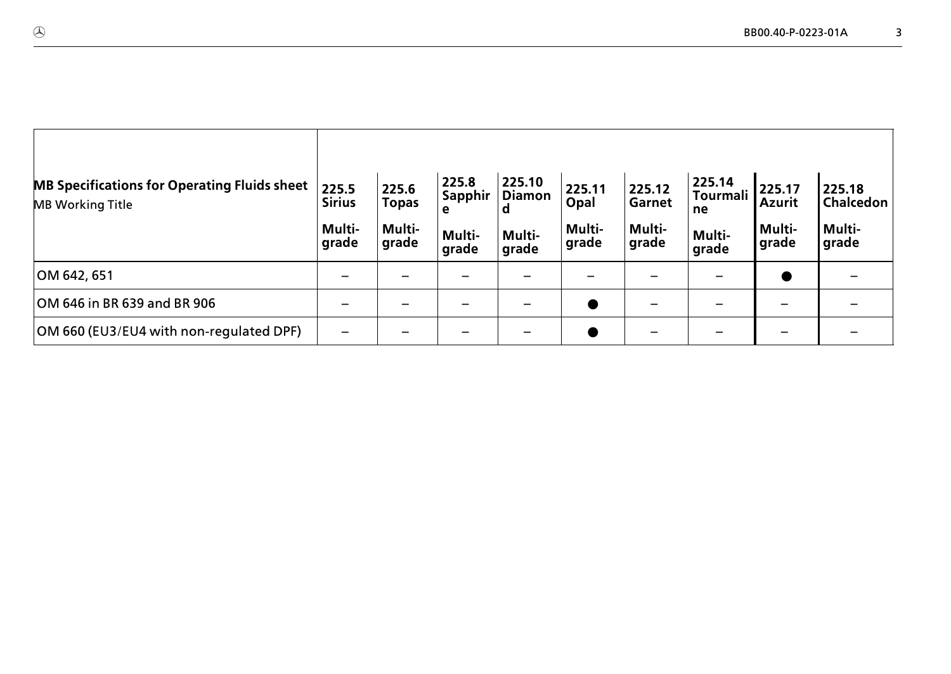| <b>MB Specifications for Operating Fluids sheet</b><br><b>MB Working Title</b> | 225.5<br><b>Sirius</b><br>Multi-<br>grade | 225.6<br><b>Topas</b><br>Multi-<br>grade | 225.8<br><b>Sapphir</b><br>е<br>Multi-<br>grade | 225.10<br><b>Diamon</b><br>a<br>Multi-<br>grade | 225.11<br>Opal<br>Multi-<br>grade | 225.12<br><b>Garnet</b><br>Multi-<br>grade | 225.14<br>Tourmali<br>ne<br>Multi-<br>grade | 225.17<br><b>Azurit</b><br>Multi-<br>grade | 225.18<br><b>Chalcedon</b><br>Multi-<br> grade |
|--------------------------------------------------------------------------------|-------------------------------------------|------------------------------------------|-------------------------------------------------|-------------------------------------------------|-----------------------------------|--------------------------------------------|---------------------------------------------|--------------------------------------------|------------------------------------------------|
| OM 642, 651                                                                    |                                           |                                          |                                                 |                                                 |                                   |                                            |                                             | $\bullet$                                  |                                                |
| OM 646 in BR 639 and BR 906                                                    |                                           |                                          |                                                 |                                                 |                                   |                                            |                                             |                                            |                                                |
| OM 660 (EU3/EU4 with non-regulated DPF)                                        |                                           |                                          |                                                 |                                                 |                                   |                                            |                                             |                                            |                                                |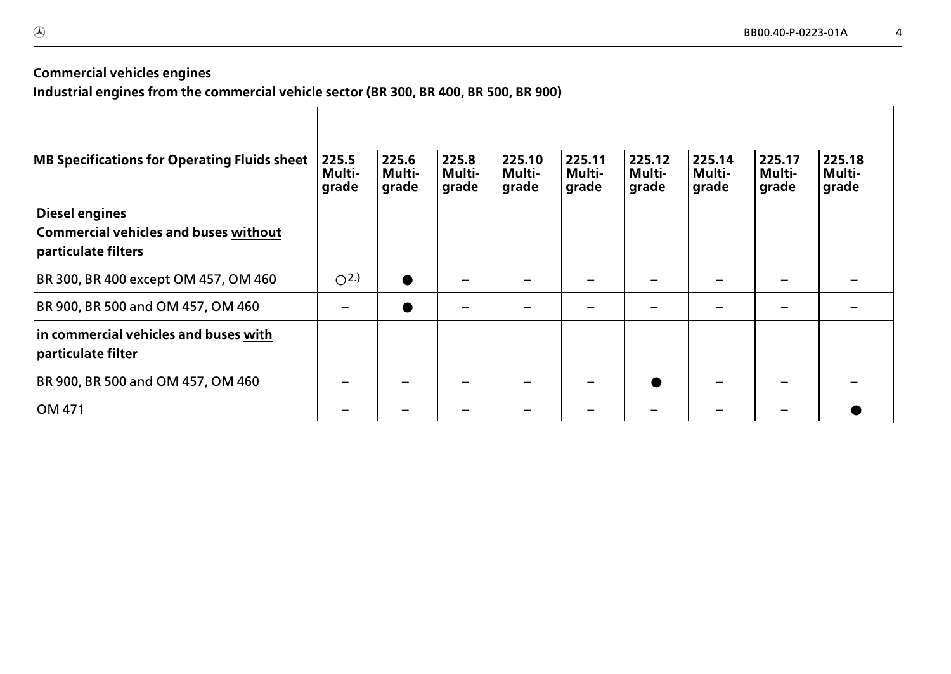## **Commercial vehicles engines**

**Industrial engines from the commercial vehicle sector (BR 300, BR 400, BR 500, BR 900)**

| <b>MB Specifications for Operating Fluids sheet</b>                            | 225.5<br>Multi-<br>grade | 225.6<br>Multi-<br>grade | 225.8<br>Multi-<br>grade | 225.10<br>Multi-<br>grade | 225.11<br>Multi-<br>grade | 225.12<br>Multi-<br>grade | 225.14<br>Multi-<br>grade | 225.17<br><b>Multi-</b><br><b>grade</b> | 225.18<br>Multi-<br>grade |
|--------------------------------------------------------------------------------|--------------------------|--------------------------|--------------------------|---------------------------|---------------------------|---------------------------|---------------------------|-----------------------------------------|---------------------------|
| Diesel engines<br>Commercial vehicles and buses without<br>particulate filters |                          |                          |                          |                           |                           |                           |                           |                                         |                           |
| BR 300, BR 400 except OM 457, OM 460                                           | O <sub>2</sub>           | $\bullet$                |                          |                           |                           |                           |                           |                                         |                           |
| BR 900, BR 500 and OM 457, OM 460                                              |                          | $\bullet$                |                          |                           |                           |                           |                           |                                         |                           |
| in commercial vehicles and buses with<br>particulate filter                    |                          |                          |                          |                           |                           |                           |                           |                                         |                           |
| BR 900, BR 500 and OM 457, OM 460                                              |                          |                          |                          |                           |                           |                           |                           |                                         |                           |
| OM 471                                                                         |                          |                          |                          |                           |                           |                           |                           |                                         |                           |